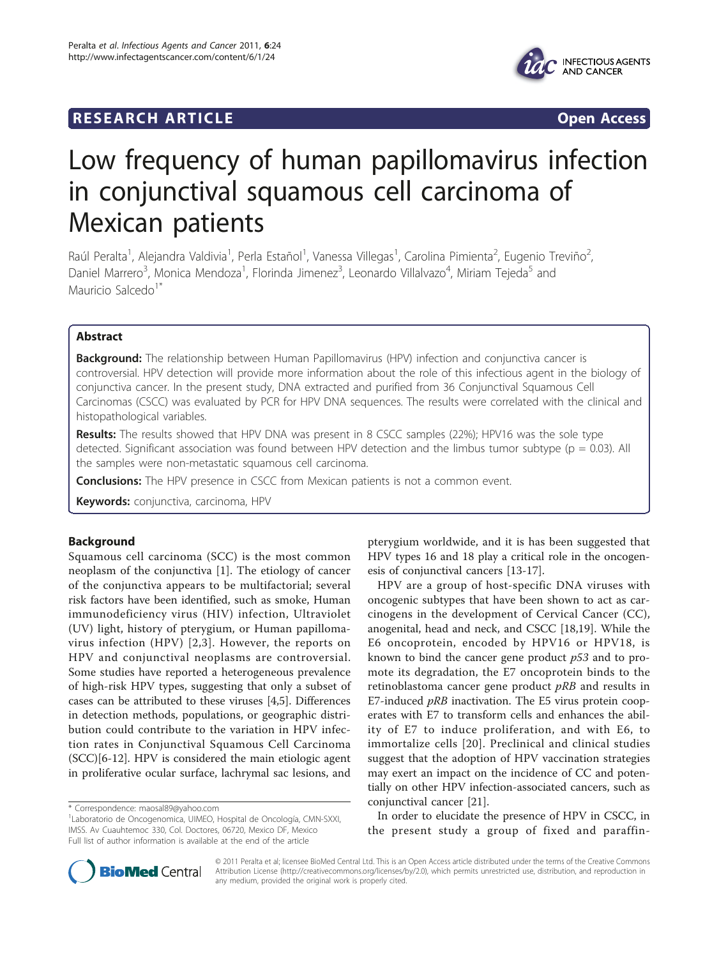## **RESEARCH ARTICLE Example 2018 Open Access**



# Low frequency of human papillomavirus infection in conjunctival squamous cell carcinoma of Mexican patients

Raúl Peralta<sup>1</sup>, Alejandra Valdivia<sup>1</sup>, Perla Estañol<sup>1</sup>, Vanessa Villegas<sup>1</sup>, Carolina Pimienta<sup>2</sup>, Eugenio Treviño<sup>2</sup> .<br>, Daniel Marrero<sup>3</sup>, Monica Mendoza<sup>1</sup>, Florinda Jimenez<sup>3</sup>, Leonardo Villalvazo<sup>4</sup>, Miriam Tejeda<sup>5</sup> and Mauricio Salcedo<sup>1\*</sup>

## Abstract

Background: The relationship between Human Papillomavirus (HPV) infection and conjunctiva cancer is controversial. HPV detection will provide more information about the role of this infectious agent in the biology of conjunctiva cancer. In the present study, DNA extracted and purified from 36 Conjunctival Squamous Cell Carcinomas (CSCC) was evaluated by PCR for HPV DNA sequences. The results were correlated with the clinical and histopathological variables.

Results: The results showed that HPV DNA was present in 8 CSCC samples (22%); HPV16 was the sole type detected. Significant association was found between HPV detection and the limbus tumor subtype ( $p = 0.03$ ). All the samples were non-metastatic squamous cell carcinoma.

**Conclusions:** The HPV presence in CSCC from Mexican patients is not a common event.

Keywords: conjunctiva, carcinoma, HPV

## Background

Squamous cell carcinoma (SCC) is the most common neoplasm of the conjunctiva [\[1](#page-3-0)]. The etiology of cancer of the conjunctiva appears to be multifactorial; several risk factors have been identified, such as smoke, Human immunodeficiency virus (HIV) infection, Ultraviolet (UV) light, history of pterygium, or Human papillomavirus infection (HPV) [\[2,3](#page-3-0)]. However, the reports on HPV and conjunctival neoplasms are controversial. Some studies have reported a heterogeneous prevalence of high-risk HPV types, suggesting that only a subset of cases can be attributed to these viruses [\[4,5](#page-3-0)]. Differences in detection methods, populations, or geographic distribution could contribute to the variation in HPV infection rates in Conjunctival Squamous Cell Carcinoma (SCC)[\[6](#page-3-0)-[12\]](#page-3-0). HPV is considered the main etiologic agent in proliferative ocular surface, lachrymal sac lesions, and

pterygium worldwide, and it is has been suggested that HPV types 16 and 18 play a critical role in the oncogenesis of conjunctival cancers [[13-17](#page-3-0)].

HPV are a group of host-specific DNA viruses with oncogenic subtypes that have been shown to act as carcinogens in the development of Cervical Cancer (CC), anogenital, head and neck, and CSCC [\[18,19](#page-3-0)]. While the E6 oncoprotein, encoded by HPV16 or HPV18, is known to bind the cancer gene product  $p53$  and to promote its degradation, the E7 oncoprotein binds to the retinoblastoma cancer gene product  $pRB$  and results in E7-induced  $pRB$  inactivation. The E5 virus protein cooperates with E7 to transform cells and enhances the ability of E7 to induce proliferation, and with E6, to immortalize cells [[20\]](#page-3-0). Preclinical and clinical studies suggest that the adoption of HPV vaccination strategies may exert an impact on the incidence of CC and potentially on other HPV infection-associated cancers, such as conjunctival cancer [\[21](#page-3-0)].

In order to elucidate the presence of HPV in CSCC, in the present study a group of fixed and paraffin-



© 2011 Peralta et al; licensee BioMed Central Ltd. This is an Open Access article distributed under the terms of the Creative Commons Attribution License [\(http://creativecommons.org/licenses/by/2.0](http://creativecommons.org/licenses/by/2.0)), which permits unrestricted use, distribution, and reproduction in any medium, provided the original work is properly cited.

<sup>\*</sup> Correspondence: [maosal89@yahoo.com](mailto:maosal89@yahoo.com)

<sup>1</sup> Laboratorio de Oncogenomica, UIMEO, Hospital de Oncología, CMN-SXXI, IMSS. Av Cuauhtemoc 330, Col. Doctores, 06720, Mexico DF, Mexico Full list of author information is available at the end of the article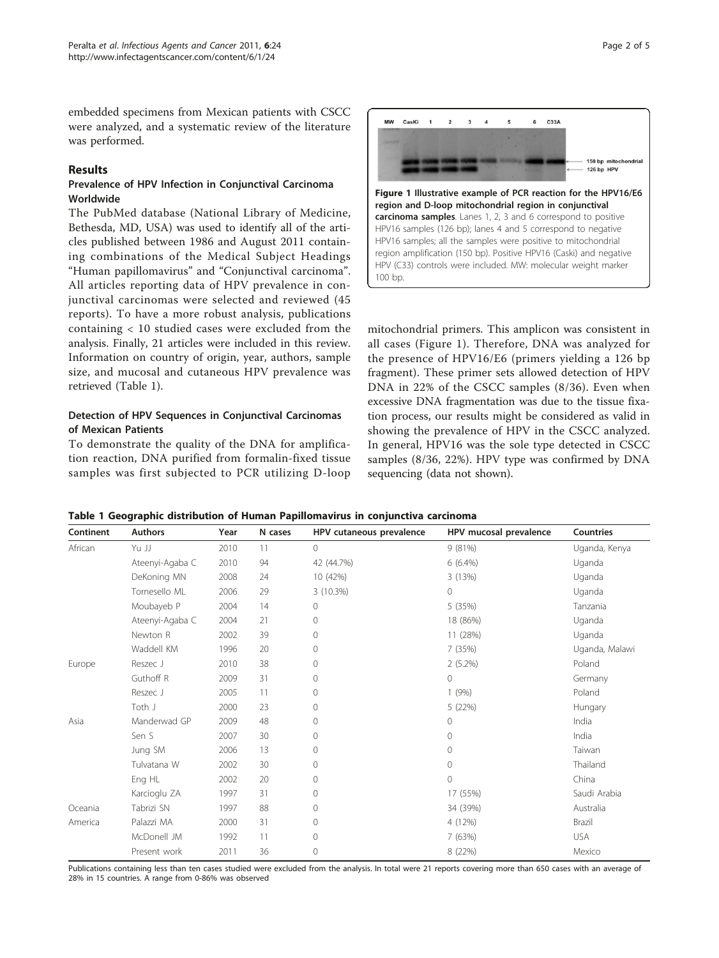embedded specimens from Mexican patients with CSCC were analyzed, and a systematic review of the literature was performed.

## Results

## Prevalence of HPV Infection in Conjunctival Carcinoma Worldwide

The PubMed database (National Library of Medicine, Bethesda, MD, USA) was used to identify all of the articles published between 1986 and August 2011 containing combinations of the Medical Subject Headings "Human papillomavirus" and "Conjunctival carcinoma". All articles reporting data of HPV prevalence in conjunctival carcinomas were selected and reviewed (45 reports). To have a more robust analysis, publications containing < 10 studied cases were excluded from the analysis. Finally, 21 articles were included in this review. Information on country of origin, year, authors, sample size, and mucosal and cutaneous HPV prevalence was retrieved (Table 1).

## Detection of HPV Sequences in Conjunctival Carcinomas of Mexican Patients

To demonstrate the quality of the DNA for amplification reaction, DNA purified from formalin-fixed tissue samples was first subjected to PCR utilizing D-loop



mitochondrial primers. This amplicon was consistent in all cases (Figure 1). Therefore, DNA was analyzed for the presence of HPV16/E6 (primers yielding a 126 bp fragment). These primer sets allowed detection of HPV DNA in 22% of the CSCC samples (8/36). Even when excessive DNA fragmentation was due to the tissue fixation process, our results might be considered as valid in showing the prevalence of HPV in the CSCC analyzed. In general, HPV16 was the sole type detected in CSCC samples (8/36, 22%). HPV type was confirmed by DNA sequencing (data not shown).

Table 1 Geographic distribution of Human Papillomavirus in conjunctiva carcinoma

| Continent | <b>Authors</b>  | Year | N cases | HPV cutaneous prevalence | HPV mucosal prevalence | Countries      |
|-----------|-----------------|------|---------|--------------------------|------------------------|----------------|
| African   | Yu JJ           | 2010 | 11      | $\circ$                  | 9(81%)                 | Uganda, Kenya  |
|           | Ateenyi-Agaba C | 2010 | 94      | 42 (44.7%)               | $6(6.4\%)$             | Uganda         |
|           | DeKoning MN     | 2008 | 24      | 10 (42%)                 | 3(13%)                 | Uganda         |
|           | Tornesello ML   | 2006 | 29      | 3 (10.3%)                | 0                      | Uganda         |
|           | Moubayeb P      | 2004 | 14      | 0                        | 5 (35%)                | Tanzania       |
|           | Ateenyi-Agaba C | 2004 | 21      | 0                        | 18 (86%)               | Uganda         |
|           | Newton R        | 2002 | 39      | 0                        | 11 (28%)               | Uganda         |
|           | Waddell KM      | 1996 | 20      | 0                        | 7 (35%)                | Uganda, Malawi |
| Europe    | Reszec J        | 2010 | 38      | $\Omega$                 | $2(5.2\%)$             | Poland         |
|           | Guthoff R       | 2009 | 31      | 0                        | 0                      | Germany        |
|           | Reszec J        | 2005 | 11      | 0                        | 1(9%)                  | Poland         |
|           | Toth J          | 2000 | 23      | 0                        | 5 (22%)                | Hungary        |
| Asia      | Manderwad GP    | 2009 | 48      | 0                        | 0                      | India          |
|           | Sen S           | 2007 | 30      | $\Omega$                 | $\Omega$               | India          |
|           | Jung SM         | 2006 | 13      | 0                        | $\Omega$               | Taiwan         |
|           | Tulvatana W     | 2002 | 30      | 0                        | 0                      | Thailand       |
|           | Eng HL          | 2002 | 20      | $\Omega$                 | $\Omega$               | China          |
|           | Karcioglu ZA    | 1997 | 31      | $\Omega$                 | 17 (55%)               | Saudi Arabia   |
| Oceania   | Tabrizi SN      | 1997 | 88      | 0                        | 34 (39%)               | Australia      |
| America   | Palazzi MA      | 2000 | 31      | 0                        | 4 (12%)                | Brazil         |
|           | McDonell JM     | 1992 | 11      | 0                        | 7(63%)                 | <b>USA</b>     |
|           | Present work    | 2011 | 36      | 0                        | 8 (22%)                | Mexico         |

Publications containing less than ten cases studied were excluded from the analysis. In total were 21 reports covering more than 650 cases with an average of 28% in 15 countries. A range from 0-86% was observed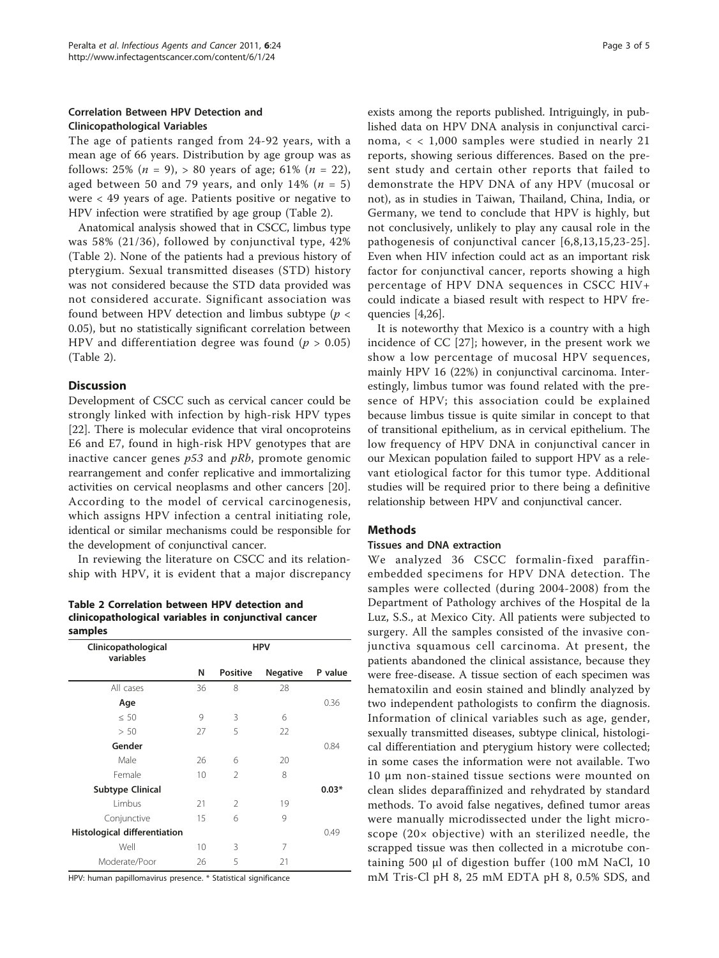## Correlation Between HPV Detection and Clinicopathological Variables

The age of patients ranged from 24-92 years, with a mean age of 66 years. Distribution by age group was as follows: 25% ( $n = 9$ ), > 80 years of age; 61% ( $n = 22$ ), aged between 50 and 79 years, and only 14% ( $n = 5$ ) were < 49 years of age. Patients positive or negative to HPV infection were stratified by age group (Table 2).

Anatomical analysis showed that in CSCC, limbus type was 58% (21/36), followed by conjunctival type, 42% (Table 2). None of the patients had a previous history of pterygium. Sexual transmitted diseases (STD) history was not considered because the STD data provided was not considered accurate. Significant association was found between HPV detection and limbus subtype ( $p <$ 0.05), but no statistically significant correlation between HPV and differentiation degree was found ( $p > 0.05$ ) (Table 2).

## **Discussion**

Development of CSCC such as cervical cancer could be strongly linked with infection by high-risk HPV types [[22\]](#page-4-0). There is molecular evidence that viral oncoproteins E6 and E7, found in high-risk HPV genotypes that are inactive cancer genes  $p53$  and  $pRb$ , promote genomic rearrangement and confer replicative and immortalizing activities on cervical neoplasms and other cancers [[20](#page-3-0)]. According to the model of cervical carcinogenesis, which assigns HPV infection a central initiating role, identical or similar mechanisms could be responsible for the development of conjunctival cancer.

In reviewing the literature on CSCC and its relationship with HPV, it is evident that a major discrepancy

Table 2 Correlation between HPV detection and clinicopathological variables in conjunctival cancer samples

| Clinicopathological<br>variables | <b>HPV</b> |                 |                 |         |
|----------------------------------|------------|-----------------|-----------------|---------|
|                                  | N          | <b>Positive</b> | <b>Negative</b> | P value |
| All cases                        | 36         | 8               | 28              |         |
| Age                              |            |                 |                 | 0.36    |
| $\leq 50$                        | 9          | 3               | 6               |         |
| > 50                             | 27         | 5               | 22              |         |
| Gender                           |            |                 |                 | 0.84    |
| Male                             | 26         | 6               | 20              |         |
| Female                           | 10         | $\mathfrak{D}$  | 8               |         |
| <b>Subtype Clinical</b>          |            |                 |                 | $0.03*$ |
| <b>l</b> imbus                   | 21         | $\mathfrak{D}$  | 19              |         |
| Conjunctive                      | 15         | 6               | 9               |         |
| Histological differentiation     |            |                 |                 | 0.49    |
| Well                             | 10         | 3               | 7               |         |
| Moderate/Poor                    | 26         | 5               | 21              |         |

HPV: human papillomavirus presence. \* Statistical significance

exists among the reports published. Intriguingly, in published data on HPV DNA analysis in conjunctival carcinoma, < < 1,000 samples were studied in nearly 21 reports, showing serious differences. Based on the present study and certain other reports that failed to demonstrate the HPV DNA of any HPV (mucosal or not), as in studies in Taiwan, Thailand, China, India, or Germany, we tend to conclude that HPV is highly, but not conclusively, unlikely to play any causal role in the pathogenesis of conjunctival cancer [[6,8](#page-3-0),[13](#page-3-0),[15,](#page-3-0)[23-25\]](#page-4-0). Even when HIV infection could act as an important risk factor for conjunctival cancer, reports showing a high percentage of HPV DNA sequences in CSCC HIV+ could indicate a biased result with respect to HPV frequencies [\[4](#page-3-0)[,26](#page-4-0)].

It is noteworthy that Mexico is a country with a high incidence of CC [[27](#page-4-0)]; however, in the present work we show a low percentage of mucosal HPV sequences, mainly HPV 16 (22%) in conjunctival carcinoma. Interestingly, limbus tumor was found related with the presence of HPV; this association could be explained because limbus tissue is quite similar in concept to that of transitional epithelium, as in cervical epithelium. The low frequency of HPV DNA in conjunctival cancer in our Mexican population failed to support HPV as a relevant etiological factor for this tumor type. Additional studies will be required prior to there being a definitive relationship between HPV and conjunctival cancer.

#### Methods

#### Tissues and DNA extraction

We analyzed 36 CSCC formalin-fixed paraffinembedded specimens for HPV DNA detection. The samples were collected (during 2004-2008) from the Department of Pathology archives of the Hospital de la Luz, S.S., at Mexico City. All patients were subjected to surgery. All the samples consisted of the invasive conjunctiva squamous cell carcinoma. At present, the patients abandoned the clinical assistance, because they were free-disease. A tissue section of each specimen was hematoxilin and eosin stained and blindly analyzed by two independent pathologists to confirm the diagnosis. Information of clinical variables such as age, gender, sexually transmitted diseases, subtype clinical, histological differentiation and pterygium history were collected; in some cases the information were not available. Two 10 μm non-stained tissue sections were mounted on clean slides deparaffinized and rehydrated by standard methods. To avoid false negatives, defined tumor areas were manually microdissected under the light microscope (20× objective) with an sterilized needle, the scrapped tissue was then collected in a microtube containing 500 μl of digestion buffer (100 mM NaCl, 10 mM Tris-Cl pH 8, 25 mM EDTA pH 8, 0.5% SDS, and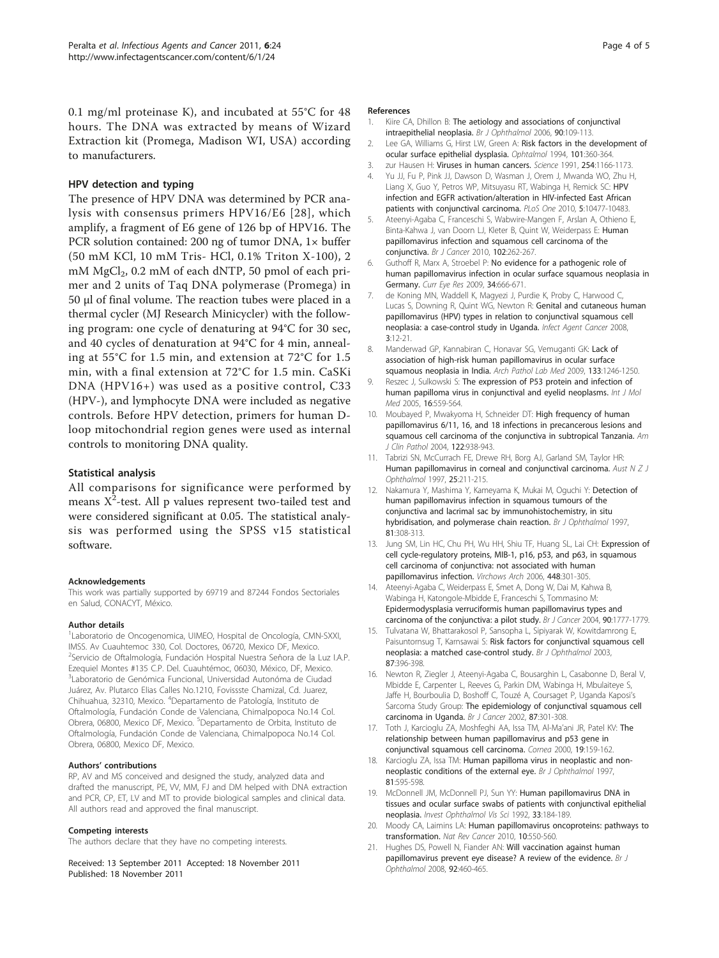<span id="page-3-0"></span>0.1 mg/ml proteinase K), and incubated at 55°C for 48 hours. The DNA was extracted by means of Wizard Extraction kit (Promega, Madison WI, USA) according to manufacturers.

#### HPV detection and typing

The presence of HPV DNA was determined by PCR analysis with consensus primers HPV16/E6 [[28\]](#page-4-0), which amplify, a fragment of E6 gene of 126 bp of HPV16. The PCR solution contained: 200 ng of tumor DNA, 1× buffer (50 mM KCl, 10 mM Tris- HCl, 0.1% Triton X-100), 2  $mM MgCl<sub>2</sub>$ , 0.2 mM of each dNTP, 50 pmol of each primer and 2 units of Taq DNA polymerase (Promega) in 50 μl of final volume. The reaction tubes were placed in a thermal cycler (MJ Research Minicycler) with the following program: one cycle of denaturing at 94°C for 30 sec, and 40 cycles of denaturation at 94°C for 4 min, annealing at 55°C for 1.5 min, and extension at 72°C for 1.5 min, with a final extension at 72°C for 1.5 min. CaSKi DNA (HPV16+) was used as a positive control, C33 (HPV-), and lymphocyte DNA were included as negative controls. Before HPV detection, primers for human Dloop mitochondrial region genes were used as internal controls to monitoring DNA quality.

#### Statistical analysis

All comparisons for significance were performed by means  $X^2$ -test. All p values represent two-tailed test and were considered significant at 0.05. The statistical analysis was performed using the SPSS v15 statistical software.

#### Acknowledgements

This work was partially supported by 69719 and 87244 Fondos Sectoriales en Salud, CONACYT, México.

#### Author details

<sup>1</sup> Laboratorio de Oncogenomica, UIMEO, Hospital de Oncología, CMN-SXXI, IMSS. Av Cuauhtemoc 330, Col. Doctores, 06720, Mexico DF, Mexico. <sup>2</sup>Servicio de Oftalmología, Fundación Hospital Nuestra Señora de la Luz I.A.P. Ezequiel Montes #135 C.P. Del. Cuauhtémoc, 06030, México, DF, Mexico. 3 Laboratorio de Genómica Funcional, Universidad Autonóma de Ciudad Juárez, Av. Plutarco Elias Calles No.1210, Fovissste Chamizal, Cd. Juarez, Chihuahua, 32310, Mexico. <sup>4</sup>Departamento de Patología, Instituto de Oftalmología, Fundación Conde de Valenciana, Chimalpopoca No.14 Col. Obrera, 06800, Mexico DF, Mexico. <sup>5</sup>Departamento de Orbita, Instituto de Oftalmología, Fundación Conde de Valenciana, Chimalpopoca No.14 Col. Obrera, 06800, Mexico DF, Mexico.

#### Authors' contributions

RP, AV and MS conceived and designed the study, analyzed data and drafted the manuscript, PE, VV, MM, FJ and DM helped with DNA extraction and PCR, CP, ET, LV and MT to provide biological samples and clinical data. All authors read and approved the final manuscript.

#### Competing interests

The authors declare that they have no competing interests.

Received: 13 September 2011 Accepted: 18 November 2011 Published: 18 November 2011

#### References

- 1. Kiire CA, Dhillon B: [The aetiology and associations of conjunctival](http://www.ncbi.nlm.nih.gov/pubmed/16361679?dopt=Abstract) [intraepithelial neoplasia.](http://www.ncbi.nlm.nih.gov/pubmed/16361679?dopt=Abstract) Br J Ophthalmol 2006, 90:109-113.
- 2. Lee GA, Williams G, Hirst LW, Green A: Risk factors in the development of ocular surface epithelial dysplasia. Ophtalmol 1994, 101:360-364.
- 3. zur Hausen H: Viruses in human cancers. Science 1991, 254:1166-1173.
- 4. Yu JJ, Fu P, Pink JJ, Dawson D, Wasman J, Orem J, Mwanda WO, Zhu H, Liang X, Guo Y, Petros WP, Mitsuyasu RT, Wabinga H, Remick SC: HPV infection and EGFR activation/alteration in HIV-infected East African patients with conjunctival carcinoma. PLoS One 2010, 5:10477-10483.
- 5. Ateenyi-Agaba C, Franceschi S, Wabwire-Mangen F, Arslan A, Othieno E, Binta-Kahwa J, van Doorn LJ, Kleter B, Quint W, Weiderpass E: [Human](http://www.ncbi.nlm.nih.gov/pubmed/19997105?dopt=Abstract) [papillomavirus infection and squamous cell carcinoma of the](http://www.ncbi.nlm.nih.gov/pubmed/19997105?dopt=Abstract) [conjunctiva.](http://www.ncbi.nlm.nih.gov/pubmed/19997105?dopt=Abstract) Br J Cancer 2010, 102:262-267.
- 6. Guthoff R, Marx A, Stroebel P: [No evidence for a pathogenic role of](http://www.ncbi.nlm.nih.gov/pubmed/19899994?dopt=Abstract) [human papillomavirus infection in ocular surface squamous neoplasia in](http://www.ncbi.nlm.nih.gov/pubmed/19899994?dopt=Abstract) [Germany.](http://www.ncbi.nlm.nih.gov/pubmed/19899994?dopt=Abstract) Curr Eye Res 2009, 34:666-671.
- 7. de Koning MN, Waddell K, Magyezi J, Purdie K, Proby C, Harwood C, Lucas S, Downing R, Quint WG, Newton R: [Genital and cutaneous human](http://www.ncbi.nlm.nih.gov/pubmed/18783604?dopt=Abstract) [papillomavirus \(HPV\) types in relation to conjunctival squamous cell](http://www.ncbi.nlm.nih.gov/pubmed/18783604?dopt=Abstract) [neoplasia: a case-control study in Uganda.](http://www.ncbi.nlm.nih.gov/pubmed/18783604?dopt=Abstract) Infect Agent Cancer 2008, 3:12-21.
- 8. Manderwad GP, Kannabiran C, Honavar SG, Vemuganti GK: [Lack of](http://www.ncbi.nlm.nih.gov/pubmed/19653719?dopt=Abstract) [association of high-risk human papillomavirus in ocular surface](http://www.ncbi.nlm.nih.gov/pubmed/19653719?dopt=Abstract) [squamous neoplasia in India.](http://www.ncbi.nlm.nih.gov/pubmed/19653719?dopt=Abstract) Arch Pathol Lab Med 2009, 133:1246-1250.
- Reszec J, Sulkowski S: [The expression of P53 protein and infection of](http://www.ncbi.nlm.nih.gov/pubmed/16142387?dopt=Abstract) [human papilloma virus in conjunctival and eyelid neoplasms.](http://www.ncbi.nlm.nih.gov/pubmed/16142387?dopt=Abstract) Int J Mol Med 2005, 16:559-564.
- 10. Moubayed P, Mwakyoma H, Schneider DT: [High frequency of human](http://www.ncbi.nlm.nih.gov/pubmed/15539387?dopt=Abstract) [papillomavirus 6/11, 16, and 18 infections in precancerous lesions and](http://www.ncbi.nlm.nih.gov/pubmed/15539387?dopt=Abstract) [squamous cell carcinoma of the conjunctiva in subtropical Tanzania.](http://www.ncbi.nlm.nih.gov/pubmed/15539387?dopt=Abstract) Am J Clin Pathol 2004, 122:938-943.
- 11. Tabrizi SN, McCurrach FE, Drewe RH, Borg AJ, Garland SM, Taylor HR: [Human papillomavirus in corneal and conjunctival carcinoma.](http://www.ncbi.nlm.nih.gov/pubmed/9296295?dopt=Abstract) Aust  $N Z J$ Ophthalmol 1997, 25:211-215.
- 12. Nakamura Y, Mashima Y, Kameyama K, Mukai M, Oguchi Y: [Detection of](http://www.ncbi.nlm.nih.gov/pubmed/9215061?dopt=Abstract) [human papillomavirus infection in squamous tumours of the](http://www.ncbi.nlm.nih.gov/pubmed/9215061?dopt=Abstract) [conjunctiva and lacrimal sac by immunohistochemistry, in situ](http://www.ncbi.nlm.nih.gov/pubmed/9215061?dopt=Abstract) [hybridisation, and polymerase chain reaction.](http://www.ncbi.nlm.nih.gov/pubmed/9215061?dopt=Abstract) Br J Ophthalmol 1997, 81:308-313.
- 13. Jung SM, Lin HC, Chu PH, Wu HH, Shiu TF, Huang SL, Lai CH: [Expression of](http://www.ncbi.nlm.nih.gov/pubmed/16328355?dopt=Abstract) [cell cycle-regulatory proteins, MIB-1, p16, p53, and p63, in squamous](http://www.ncbi.nlm.nih.gov/pubmed/16328355?dopt=Abstract) [cell carcinoma of conjunctiva: not associated with human](http://www.ncbi.nlm.nih.gov/pubmed/16328355?dopt=Abstract) [papillomavirus infection.](http://www.ncbi.nlm.nih.gov/pubmed/16328355?dopt=Abstract) Virchows Arch 2006, 448:301-305.
- 14. Ateenyi-Agaba C, Weiderpass E, Smet A, Dong W, Dai M, Kahwa B, Wabinga H, Katongole-Mbidde E, Franceschi S, Tommasino M: Epidermodysplasia [verruciformis human papillomavirus types and](http://www.ncbi.nlm.nih.gov/pubmed/15150602?dopt=Abstract) [carcinoma of the conjunctiva: a pilot study.](http://www.ncbi.nlm.nih.gov/pubmed/15150602?dopt=Abstract) Br J Cancer 2004, 90:1777-1779.
- Tulvatana W, Bhattarakosol P, Sansopha L, Sipiyarak W, Kowitdamrong E, Paisuntornsug T, Karnsawai S: [Risk factors for conjunctival squamous cell](http://www.ncbi.nlm.nih.gov/pubmed/12642297?dopt=Abstract) [neoplasia: a matched case-control study.](http://www.ncbi.nlm.nih.gov/pubmed/12642297?dopt=Abstract) Br J Ophthalmol 2003, 87:396-398.
- 16. Newton R, Ziegler J, Ateenyi-Agaba C, Bousarghin L, Casabonne D, Beral V, Mbidde E, Carpenter L, Reeves G, Parkin DM, Wabinga H, Mbulaiteye S, Jaffe H, Bourboulia D, Boshoff C, Touzé A, Coursaget P, Uganda Kaposi's Sarcoma Study Group: [The epidemiology of conjunctival squamous cell](http://www.ncbi.nlm.nih.gov/pubmed/12177799?dopt=Abstract) [carcinoma in Uganda.](http://www.ncbi.nlm.nih.gov/pubmed/12177799?dopt=Abstract) Br J Cancer 2002, 87:301-308.
- 17. Toth J, Karcioglu ZA, Moshfeghi AA, Issa TM, Al-Ma'ani JR, Patel KV: [The](http://www.ncbi.nlm.nih.gov/pubmed/10746446?dopt=Abstract) [relationship between human papillomavirus and p53 gene in](http://www.ncbi.nlm.nih.gov/pubmed/10746446?dopt=Abstract) [conjunctival squamous cell carcinoma.](http://www.ncbi.nlm.nih.gov/pubmed/10746446?dopt=Abstract) Cornea 2000, 19:159-162.
- 18. Karcioglu ZA, Issa TM: [Human papilloma virus in neoplastic and non](http://www.ncbi.nlm.nih.gov/pubmed/9290377?dopt=Abstract)[neoplastic conditions of the external eye.](http://www.ncbi.nlm.nih.gov/pubmed/9290377?dopt=Abstract) Br J Ophthalmol 1997, 81:595-598.
- 19. McDonnell JM, McDonnell PJ, Sun YY: [Human papillomavirus DNA in](http://www.ncbi.nlm.nih.gov/pubmed/1309728?dopt=Abstract) [tissues and ocular surface swabs of patients with conjunctival epithelial](http://www.ncbi.nlm.nih.gov/pubmed/1309728?dopt=Abstract) [neoplasia.](http://www.ncbi.nlm.nih.gov/pubmed/1309728?dopt=Abstract) Invest Ophthalmol Vis Sci 1992, 33:184-189.
- 20. Moody CA, Laimins LA: [Human papillomavirus oncoproteins: pathways to](http://www.ncbi.nlm.nih.gov/pubmed/20592731?dopt=Abstract) [transformation.](http://www.ncbi.nlm.nih.gov/pubmed/20592731?dopt=Abstract) Nat Rev Cancer 2010, 10:550-560.
- 21. Hughes DS, Powell N, Fiander AN: [Will vaccination against human](http://www.ncbi.nlm.nih.gov/pubmed/18369059?dopt=Abstract) [papillomavirus prevent eye disease? A review of the evidence.](http://www.ncbi.nlm.nih.gov/pubmed/18369059?dopt=Abstract) Br J Ophthalmol 2008, 92:460-465.